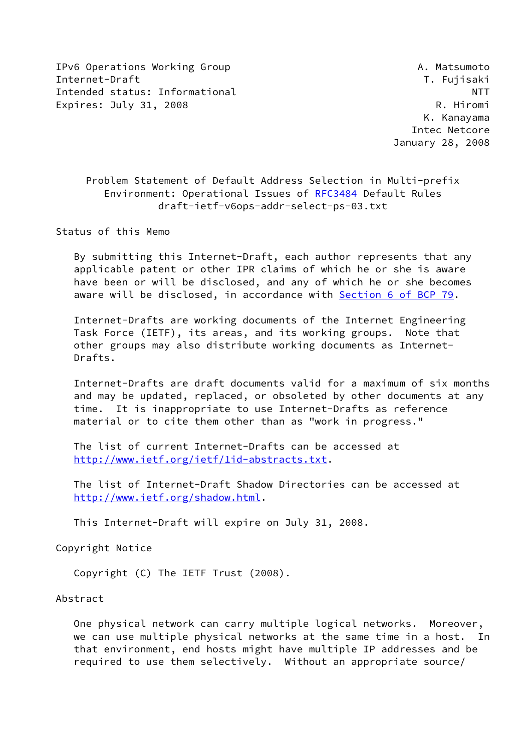IPv6 Operations Working Group **A. Matsumoto** Internet-Draft T. Fujisaki Intended status: Informational NTT Expires: July 31, 2008 R. Hiromi

 K. Kanayama Intec Netcore January 28, 2008

 Problem Statement of Default Address Selection in Multi-prefix Environment: Operational Issues of [RFC3484](https://datatracker.ietf.org/doc/pdf/rfc3484) Default Rules draft-ietf-v6ops-addr-select-ps-03.txt

Status of this Memo

 By submitting this Internet-Draft, each author represents that any applicable patent or other IPR claims of which he or she is aware have been or will be disclosed, and any of which he or she becomes aware will be disclosed, in accordance with Section [6 of BCP 79.](https://datatracker.ietf.org/doc/pdf/bcp79#section-6)

 Internet-Drafts are working documents of the Internet Engineering Task Force (IETF), its areas, and its working groups. Note that other groups may also distribute working documents as Internet- Drafts.

 Internet-Drafts are draft documents valid for a maximum of six months and may be updated, replaced, or obsoleted by other documents at any time. It is inappropriate to use Internet-Drafts as reference material or to cite them other than as "work in progress."

 The list of current Internet-Drafts can be accessed at <http://www.ietf.org/ietf/1id-abstracts.txt>.

 The list of Internet-Draft Shadow Directories can be accessed at <http://www.ietf.org/shadow.html>.

This Internet-Draft will expire on July 31, 2008.

Copyright Notice

Copyright (C) The IETF Trust (2008).

Abstract

 One physical network can carry multiple logical networks. Moreover, we can use multiple physical networks at the same time in a host. In that environment, end hosts might have multiple IP addresses and be required to use them selectively. Without an appropriate source/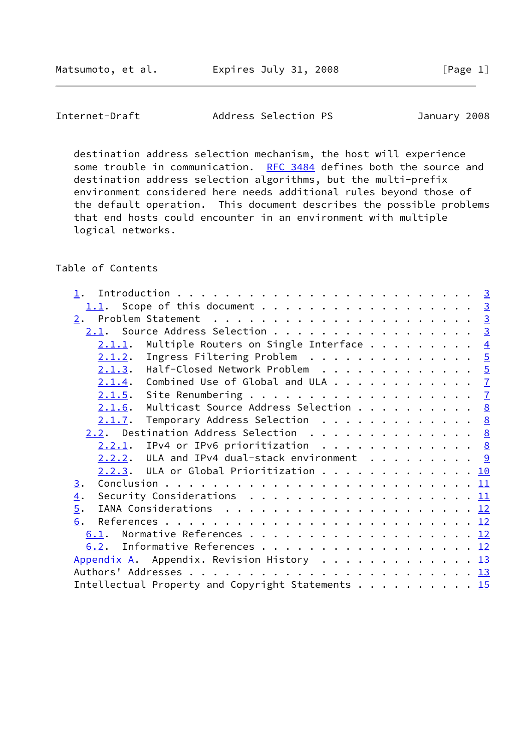Internet-Draft Address Selection PS January 2008

 destination address selection mechanism, the host will experience some trouble in communication. [RFC 3484](https://datatracker.ietf.org/doc/pdf/rfc3484) defines both the source and destination address selection algorithms, but the multi-prefix environment considered here needs additional rules beyond those of the default operation. This document describes the possible problems that end hosts could encounter in an environment with multiple logical networks.

# Table of Contents

| Scope of this document 3<br>1.1.                                                                              |                |
|---------------------------------------------------------------------------------------------------------------|----------------|
|                                                                                                               |                |
| 2.1. Source Address Selection                                                                                 | $\overline{3}$ |
| Multiple Routers on Single Interface<br>2.1.1.                                                                | $\overline{4}$ |
| Ingress Filtering Problem $\ldots \ldots \ldots \ldots \ldots$<br>2.1.2.                                      |                |
| $2.1.3$ . Half-Closed Network Problem 5                                                                       |                |
| Combined Use of Global and ULA $\frac{7}{2}$<br>2.1.4.                                                        |                |
| 2.1.5.                                                                                                        |                |
| Multicast Source Address Selection $\underline{8}$<br>2.1.6.                                                  |                |
| Temporary Address Selection $\ldots$ 8<br>2.1.7.                                                              |                |
| 2.2. Destination Address Selection 8                                                                          |                |
| IPv4 or IPv6 prioritization $\, \ldots \, \ldots \, \ldots \, \ldots \, \frac{8}{2}$<br>$2.2.1$ .             |                |
| $2.2.2.$ ULA and IPv4 dual-stack environment 9                                                                |                |
| $2.2.3$ . ULA or Global Prioritization 10                                                                     |                |
| 3.                                                                                                            |                |
| Security Considerations $\ldots \ldots \ldots \ldots \ldots \ldots \ldots \underline{11}$<br>$\overline{4}$ . |                |
| 5.                                                                                                            |                |
| 6.                                                                                                            |                |
| 6.1. Normative References 12                                                                                  |                |
| 6.2. Informative References 12                                                                                |                |
| Appendix A. Appendix. Revision History 13                                                                     |                |
|                                                                                                               |                |
| Intellectual Property and Copyright Statements 15                                                             |                |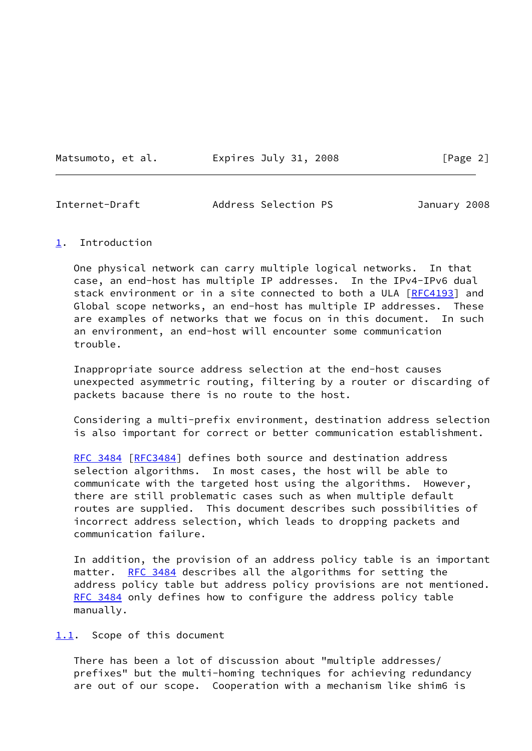Matsumoto, et al. Expires July 31, 2008 [Page 2]

<span id="page-2-1"></span>Internet-Draft Address Selection PS January 2008

#### <span id="page-2-0"></span>[1](#page-2-0). Introduction

 One physical network can carry multiple logical networks. In that case, an end-host has multiple IP addresses. In the IPv4-IPv6 dual stack environment or in a site connected to both a ULA [\[RFC4193](https://datatracker.ietf.org/doc/pdf/rfc4193)] and Global scope networks, an end-host has multiple IP addresses. These are examples of networks that we focus on in this document. In such an environment, an end-host will encounter some communication trouble.

 Inappropriate source address selection at the end-host causes unexpected asymmetric routing, filtering by a router or discarding of packets bacause there is no route to the host.

 Considering a multi-prefix environment, destination address selection is also important for correct or better communication establishment.

[RFC 3484](https://datatracker.ietf.org/doc/pdf/rfc3484) [\[RFC3484](https://datatracker.ietf.org/doc/pdf/rfc3484)] defines both source and destination address selection algorithms. In most cases, the host will be able to communicate with the targeted host using the algorithms. However, there are still problematic cases such as when multiple default routes are supplied. This document describes such possibilities of incorrect address selection, which leads to dropping packets and communication failure.

 In addition, the provision of an address policy table is an important matter. [RFC 3484](https://datatracker.ietf.org/doc/pdf/rfc3484) describes all the algorithms for setting the address policy table but address policy provisions are not mentioned. [RFC 3484](https://datatracker.ietf.org/doc/pdf/rfc3484) only defines how to configure the address policy table manually.

<span id="page-2-2"></span>[1.1](#page-2-2). Scope of this document

 There has been a lot of discussion about "multiple addresses/ prefixes" but the multi-homing techniques for achieving redundancy are out of our scope. Cooperation with a mechanism like shim6 is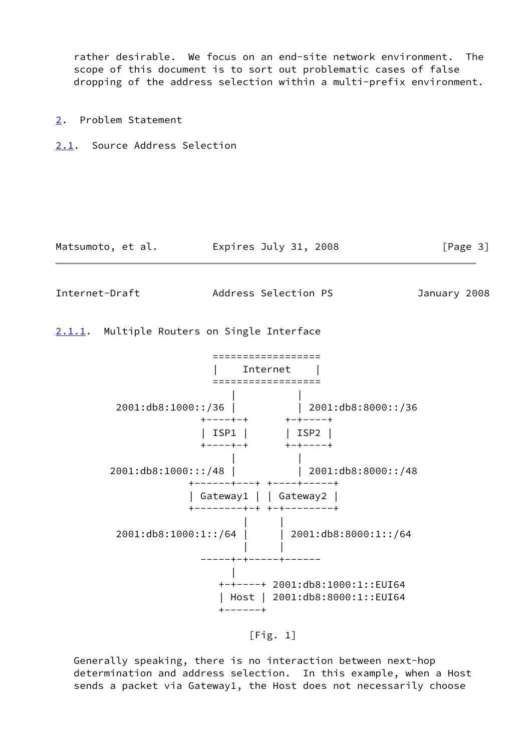rather desirable. We focus on an end-site network environment. The scope of this document is to sort out problematic cases of false dropping of the address selection within a multi-prefix environment.

<span id="page-3-0"></span>[2](#page-3-0). Problem Statement

<span id="page-3-1"></span>[2.1](#page-3-1). Source Address Selection

| Matsumoto, et al. | Expires July 31, 2008 |  | [Page 3] |  |
|-------------------|-----------------------|--|----------|--|
|                   |                       |  |          |  |

<span id="page-3-3"></span>Internet-Draft Address Selection PS January 2008

<span id="page-3-2"></span>[2.1.1](#page-3-2). Multiple Routers on Single Interface

 ================== | Internet | ================== | | 2001:db8:1000::/36 | | 2001:db8:8000::/36 +----+-+ +-+----+ | ISP1 | | ISP2 | +----+-+ +-+----+ | | 2001:db8:1000:::/48 | 2001:db8:8000::/48 +------+---+ +----+-----+ | Gateway1 | | Gateway2 | +--------+-+ +-+--------+ | | 2001:db8:1000:1::/64 | | 2001:db8:8000:1::/64 | | -----+-+-----+------ | +-+----+ 2001:db8:1000:1::EUI64 | Host | 2001:db8:8000:1::EUI64 +------+

 $[Fig. 1]$ 

 Generally speaking, there is no interaction between next-hop determination and address selection. In this example, when a Host sends a packet via Gateway1, the Host does not necessarily choose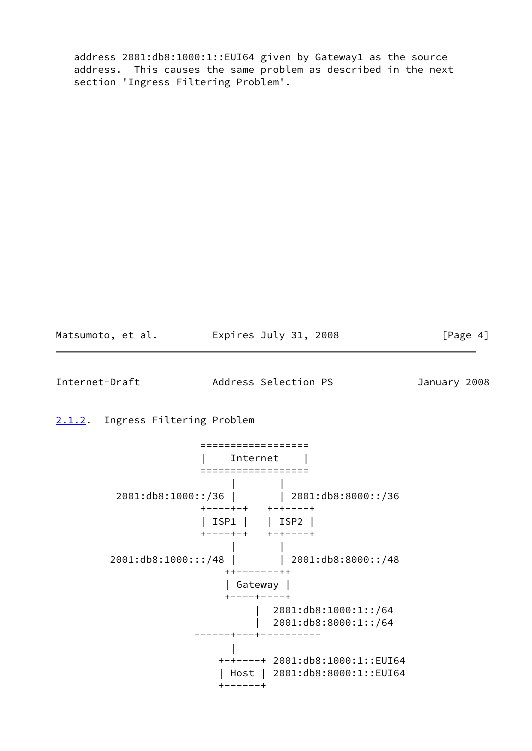address 2001:db8:1000:1::EUI64 given by Gateway1 as the source address. This causes the same problem as described in the next section 'Ingress Filtering Problem'.

Matsumoto, et al. <br>
Expires July 31, 2008 [Page 4]

<span id="page-4-1"></span>Internet-Draft Address Selection PS January 2008

<span id="page-4-0"></span>[2.1.2](#page-4-0). Ingress Filtering Problem

 ================== | Internet | ================== | | 2001:db8:1000::/36 | | 2001:db8:8000::/36 +----+-+ +-+----+ | ISP1 | | ISP2 | +----+-+ +-+----+ | | 2001:db8:1000:::/48 | | 2001:db8:8000::/48 ++-------++ | Gateway | +----+----+ | 2001:db8:1000:1::/64 | 2001:db8:8000:1::/64 ------+---+---------- | +-+----+ 2001:db8:1000:1::EUI64 | Host | 2001:db8:8000:1::EUI64 +------+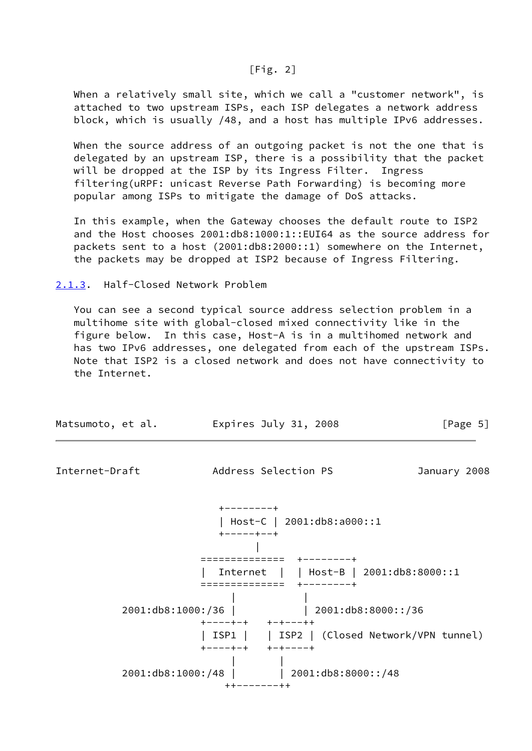#### [Fig. 2]

 When a relatively small site, which we call a "customer network", is attached to two upstream ISPs, each ISP delegates a network address block, which is usually /48, and a host has multiple IPv6 addresses.

When the source address of an outgoing packet is not the one that is delegated by an upstream ISP, there is a possibility that the packet will be dropped at the ISP by its Ingress Filter. Ingress filtering(uRPF: unicast Reverse Path Forwarding) is becoming more popular among ISPs to mitigate the damage of DoS attacks.

 In this example, when the Gateway chooses the default route to ISP2 and the Host chooses 2001:db8:1000:1::EUI64 as the source address for packets sent to a host (2001:db8:2000::1) somewhere on the Internet, the packets may be dropped at ISP2 because of Ingress Filtering.

<span id="page-5-0"></span>[2.1.3](#page-5-0). Half-Closed Network Problem

 You can see a second typical source address selection problem in a multihome site with global-closed mixed connectivity like in the figure below. In this case, Host-A is in a multihomed network and has two IPv6 addresses, one delegated from each of the upstream ISPs. Note that ISP2 is a closed network and does not have connectivity to the Internet.

| Matsumoto, et al. | Expires July 31, 2008                                            | [Page 5]     |
|-------------------|------------------------------------------------------------------|--------------|
| Internet-Draft    | Address Selection PS                                             | January 2008 |
|                   | $+ - - - - - - - +$<br>$Host-C$   2001:db8:a000::1<br>+-----+--+ |              |

 | ============== +--------+ | Internet | | Host-B | 2001:db8:8000::1 ============== +--------+ | | 2001:db8:1000:/36 | | 2001:db8:8000::/36 +----+-+ +-+---++ | ISP1 | | ISP2 | (Closed Network/VPN tunnel) +----+-+ +-+----+ | | 2001:db8:1000:/48 | | 2001:db8:8000::/48 ++-------++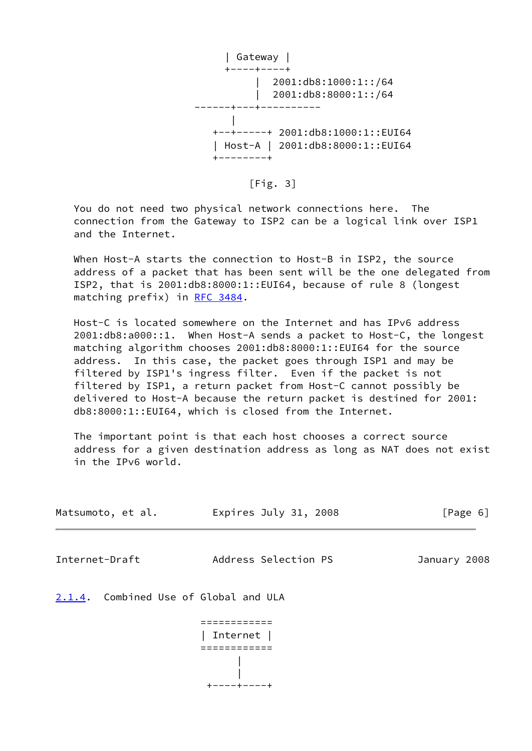

 $[Fig. 3]$ 

 You do not need two physical network connections here. The connection from the Gateway to ISP2 can be a logical link over ISP1 and the Internet.

 When Host-A starts the connection to Host-B in ISP2, the source address of a packet that has been sent will be the one delegated from ISP2, that is 2001:db8:8000:1::EUI64, because of rule 8 (longest matching prefix) in [RFC 3484.](https://datatracker.ietf.org/doc/pdf/rfc3484)

 Host-C is located somewhere on the Internet and has IPv6 address 2001:db8:a000::1. When Host-A sends a packet to Host-C, the longest matching algorithm chooses 2001:db8:8000:1::EUI64 for the source address. In this case, the packet goes through ISP1 and may be filtered by ISP1's ingress filter. Even if the packet is not filtered by ISP1, a return packet from Host-C cannot possibly be delivered to Host-A because the return packet is destined for 2001: db8:8000:1::EUI64, which is closed from the Internet.

 The important point is that each host chooses a correct source address for a given destination address as long as NAT does not exist in the IPv6 world.

<span id="page-6-1"></span>

| Matsumoto, et al. | Expires July 31, 2008          | [Page 6]     |
|-------------------|--------------------------------|--------------|
| Internet-Draft    | Address Selection PS           | January 2008 |
| 2.1.4.            | Combined Use of Global and ULA |              |
|                   | Internet                       |              |

<span id="page-6-0"></span>|

+----+----+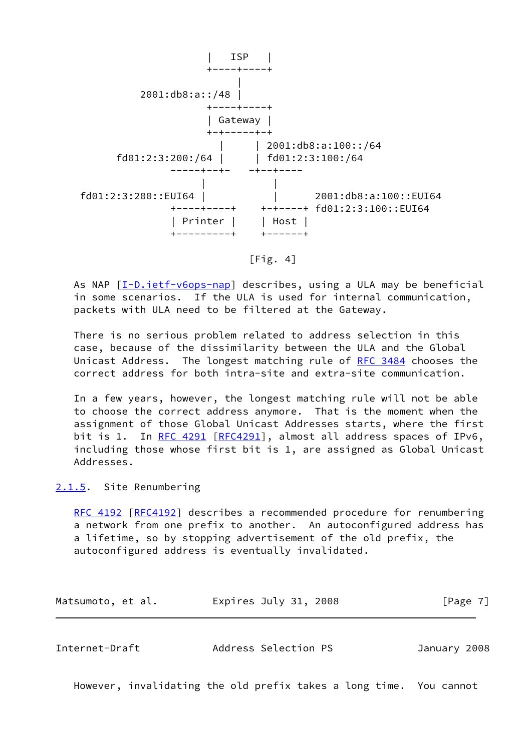

 $[Fig. 4]$ 

As NAP  $[I-D.iett-v6ops-nap]$  describes, using a ULA may be beneficial in some scenarios. If the ULA is used for internal communication, packets with ULA need to be filtered at the Gateway.

 There is no serious problem related to address selection in this case, because of the dissimilarity between the ULA and the Global Unicast Address. The longest matching rule of [RFC 3484](https://datatracker.ietf.org/doc/pdf/rfc3484) chooses the correct address for both intra-site and extra-site communication.

 In a few years, however, the longest matching rule will not be able to choose the correct address anymore. That is the moment when the assignment of those Global Unicast Addresses starts, where the first bit is 1. In [RFC 4291](https://datatracker.ietf.org/doc/pdf/rfc4291) [\[RFC4291](https://datatracker.ietf.org/doc/pdf/rfc4291)], almost all address spaces of IPv6, including those whose first bit is 1, are assigned as Global Unicast Addresses.

# <span id="page-7-0"></span>[2.1.5](#page-7-0). Site Renumbering

[RFC 4192](https://datatracker.ietf.org/doc/pdf/rfc4192) [\[RFC4192](https://datatracker.ietf.org/doc/pdf/rfc4192)] describes a recommended procedure for renumbering a network from one prefix to another. An autoconfigured address has a lifetime, so by stopping advertisement of the old prefix, the autoconfigured address is eventually invalidated.

Matsumoto, et al. <br>
Expires July 31, 2008 [Page 7]

<span id="page-7-1"></span>

However, invalidating the old prefix takes a long time. You cannot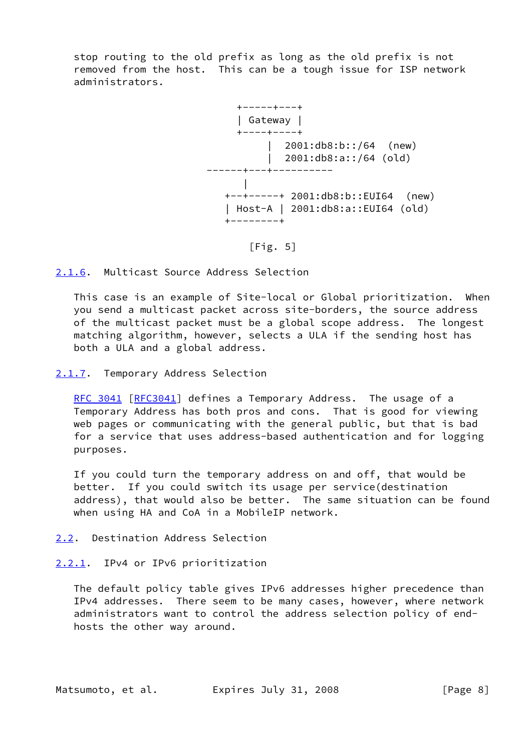stop routing to the old prefix as long as the old prefix is not removed from the host. This can be a tough issue for ISP network administrators.



 $[Fig. 5]$ 

<span id="page-8-0"></span>[2.1.6](#page-8-0). Multicast Source Address Selection

 This case is an example of Site-local or Global prioritization. When you send a multicast packet across site-borders, the source address of the multicast packet must be a global scope address. The longest matching algorithm, however, selects a ULA if the sending host has both a ULA and a global address.

<span id="page-8-1"></span>[2.1.7](#page-8-1). Temporary Address Selection

[RFC 3041](https://datatracker.ietf.org/doc/pdf/rfc3041) [\[RFC3041](https://datatracker.ietf.org/doc/pdf/rfc3041)] defines a Temporary Address. The usage of a Temporary Address has both pros and cons. That is good for viewing web pages or communicating with the general public, but that is bad for a service that uses address-based authentication and for logging purposes.

 If you could turn the temporary address on and off, that would be better. If you could switch its usage per service(destination address), that would also be better. The same situation can be found when using HA and CoA in a MobileIP network.

- <span id="page-8-2"></span>[2.2](#page-8-2). Destination Address Selection
- <span id="page-8-3"></span>[2.2.1](#page-8-3). IPv4 or IPv6 prioritization

 The default policy table gives IPv6 addresses higher precedence than IPv4 addresses. There seem to be many cases, however, where network administrators want to control the address selection policy of end hosts the other way around.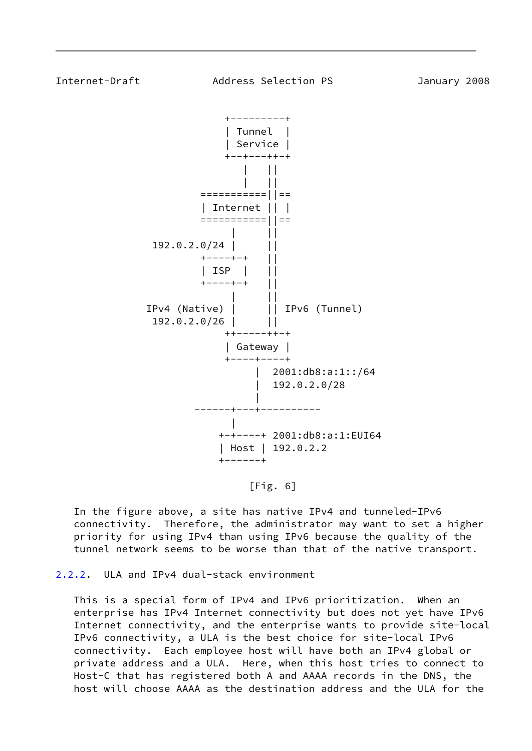<span id="page-9-1"></span>

 $[Fig. 6]$ 

 In the figure above, a site has native IPv4 and tunneled-IPv6 connectivity. Therefore, the administrator may want to set a higher priority for using IPv4 than using IPv6 because the quality of the tunnel network seems to be worse than that of the native transport.

<span id="page-9-0"></span>[2.2.2](#page-9-0). ULA and IPv4 dual-stack environment

 This is a special form of IPv4 and IPv6 prioritization. When an enterprise has IPv4 Internet connectivity but does not yet have IPv6 Internet connectivity, and the enterprise wants to provide site-local IPv6 connectivity, a ULA is the best choice for site-local IPv6 connectivity. Each employee host will have both an IPv4 global or private address and a ULA. Here, when this host tries to connect to Host-C that has registered both A and AAAA records in the DNS, the host will choose AAAA as the destination address and the ULA for the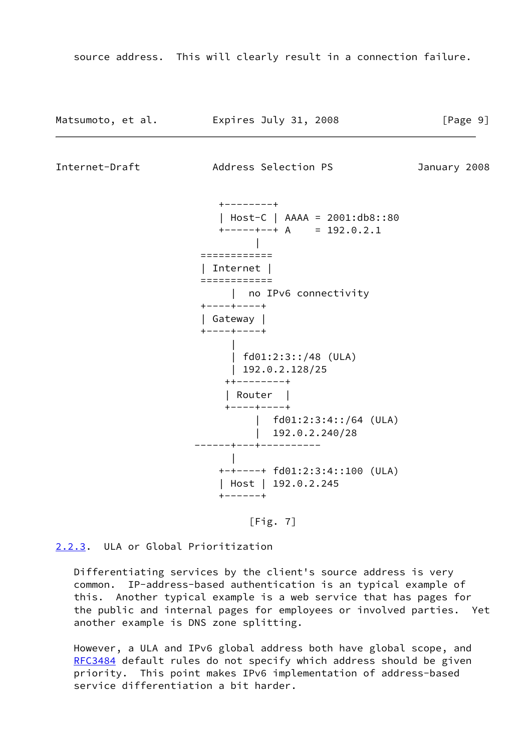source address. This will clearly result in a connection failure.

| Matsumoto, et al. | Expires July 31, 2008 | [Page 9] |
|-------------------|-----------------------|----------|
|-------------------|-----------------------|----------|

<span id="page-10-1"></span>Internet-Draft Address Selection PS January 2008

 +--------+ | Host-C | AAAA = 2001:db8::80  $+$ -----+--+ A = 192.0.2.1 | ============ | Internet | ============ | no IPv6 connectivity +----+----+ | Gateway | +----+----+ | | fd01:2:3::/48 (ULA) | 192.0.2.128/25 ++--------+ | Router | +----+----+ | fd01:2:3:4::/64 (ULA) | 192.0.2.240/28 ------+---+---------- | +-+----+ fd01:2:3:4::100 (ULA) | Host | 192.0.2.245 +------+



<span id="page-10-0"></span>[2.2.3](#page-10-0). ULA or Global Prioritization

 Differentiating services by the client's source address is very common. IP-address-based authentication is an typical example of this. Another typical example is a web service that has pages for the public and internal pages for employees or involved parties. Yet another example is DNS zone splitting.

 However, a ULA and IPv6 global address both have global scope, and [RFC3484](https://datatracker.ietf.org/doc/pdf/rfc3484) default rules do not specify which address should be given priority. This point makes IPv6 implementation of address-based service differentiation a bit harder.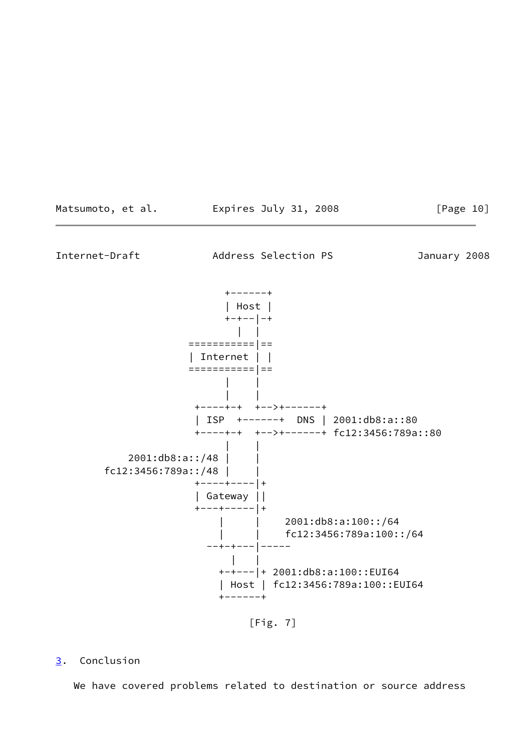<span id="page-11-1"></span>

[Fig. 7]

# <span id="page-11-0"></span>[3](#page-11-0). Conclusion

We have covered problems related to destination or source address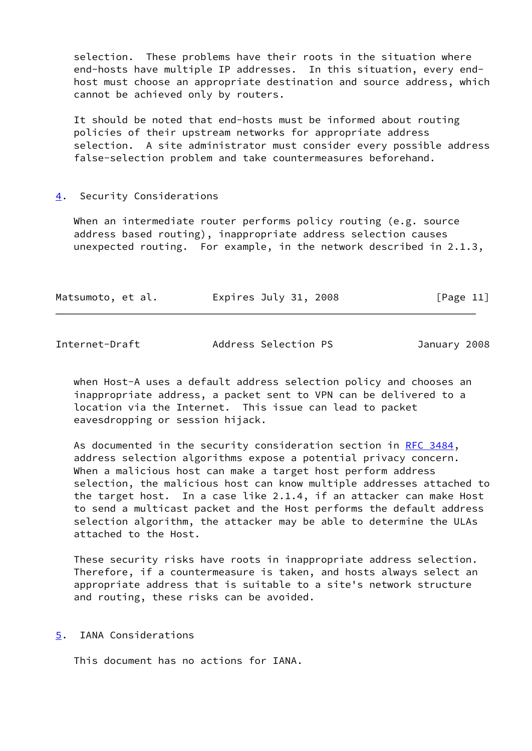selection. These problems have their roots in the situation where end-hosts have multiple IP addresses. In this situation, every end host must choose an appropriate destination and source address, which cannot be achieved only by routers.

 It should be noted that end-hosts must be informed about routing policies of their upstream networks for appropriate address selection. A site administrator must consider every possible address false-selection problem and take countermeasures beforehand.

### <span id="page-12-0"></span>[4](#page-12-0). Security Considerations

 When an intermediate router performs policy routing (e.g. source address based routing), inappropriate address selection causes unexpected routing. For example, in the network described in 2.1.3,

| Matsumoto, et al. | Expires July 31, 2008 | [Page 11] |  |
|-------------------|-----------------------|-----------|--|
|-------------------|-----------------------|-----------|--|

<span id="page-12-2"></span>Internet-Draft Address Selection PS January 2008

 when Host-A uses a default address selection policy and chooses an inappropriate address, a packet sent to VPN can be delivered to a location via the Internet. This issue can lead to packet eavesdropping or session hijack.

As documented in the security consideration section in [RFC 3484,](https://datatracker.ietf.org/doc/pdf/rfc3484) address selection algorithms expose a potential privacy concern. When a malicious host can make a target host perform address selection, the malicious host can know multiple addresses attached to the target host. In a case like 2.1.4, if an attacker can make Host to send a multicast packet and the Host performs the default address selection algorithm, the attacker may be able to determine the ULAs attached to the Host.

 These security risks have roots in inappropriate address selection. Therefore, if a countermeasure is taken, and hosts always select an appropriate address that is suitable to a site's network structure and routing, these risks can be avoided.

#### <span id="page-12-1"></span>[5](#page-12-1). IANA Considerations

This document has no actions for IANA.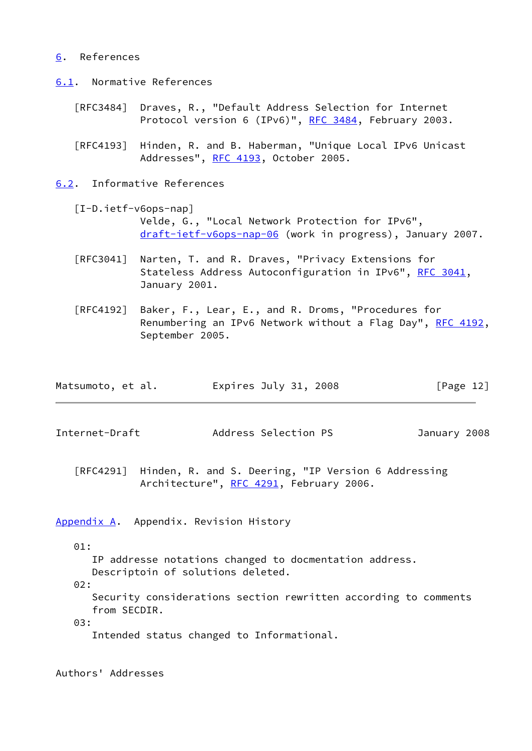### <span id="page-13-0"></span>[6](#page-13-0). References

<span id="page-13-1"></span>[6.1](#page-13-1). Normative References

- [RFC3484] Draves, R., "Default Address Selection for Internet Protocol version 6 (IPv6)", [RFC 3484,](https://datatracker.ietf.org/doc/pdf/rfc3484) February 2003.
- [RFC4193] Hinden, R. and B. Haberman, "Unique Local IPv6 Unicast Addresses", [RFC 4193,](https://datatracker.ietf.org/doc/pdf/rfc4193) October 2005.

<span id="page-13-2"></span>[6.2](#page-13-2). Informative References

<span id="page-13-5"></span> [I-D.ietf-v6ops-nap] Velde, G., "Local Network Protection for IPv6", [draft-ietf-v6ops-nap-06](https://datatracker.ietf.org/doc/pdf/draft-ietf-v6ops-nap-06) (work in progress), January 2007.

- [RFC3041] Narten, T. and R. Draves, "Privacy Extensions for Stateless Address Autoconfiguration in IPv6", [RFC 3041](https://datatracker.ietf.org/doc/pdf/rfc3041), January 2001.
- [RFC4192] Baker, F., Lear, E., and R. Droms, "Procedures for Renumbering an IPv6 Network without a Flag Day", [RFC 4192,](https://datatracker.ietf.org/doc/pdf/rfc4192) September 2005.

| Matsumoto, et al. | Expires July 31, 2008 | [Page 12] |
|-------------------|-----------------------|-----------|
|-------------------|-----------------------|-----------|

<span id="page-13-4"></span>Internet-Draft Address Selection PS January 2008

 [RFC4291] Hinden, R. and S. Deering, "IP Version 6 Addressing Architecture", [RFC 4291](https://datatracker.ietf.org/doc/pdf/rfc4291), February 2006.

<span id="page-13-3"></span>[Appendix A.](#page-13-3) Appendix. Revision History

## 01:

IP addresse notations changed to docmentation address.

Descriptoin of solutions deleted.

02:

 Security considerations section rewritten according to comments from SECDIR.

03:

Intended status changed to Informational.

Authors' Addresses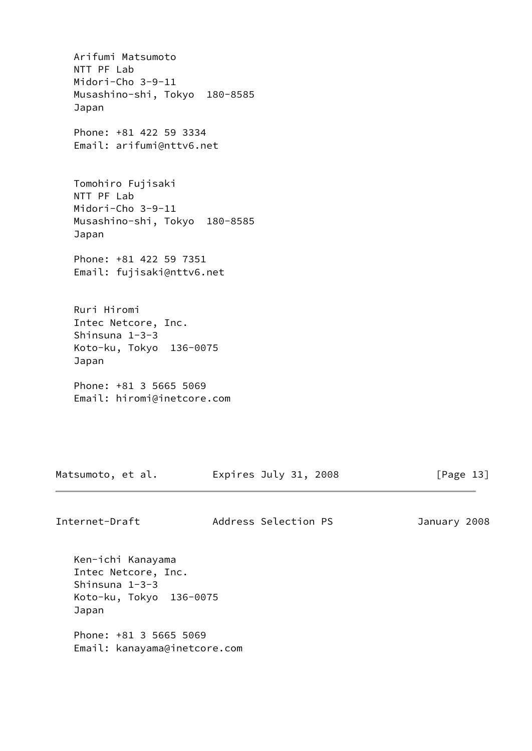Arifumi Matsumoto NTT PF Lab Midori-Cho 3-9-11 Musashino-shi, Tokyo 180-8585 Japan Phone: +81 422 59 3334 Email: arifumi@nttv6.net Tomohiro Fujisaki NTT PF Lab Midori-Cho 3-9-11 Musashino-shi, Tokyo 180-8585 Japan Phone: +81 422 59 7351 Email: fujisaki@nttv6.net Ruri Hiromi Intec Netcore, Inc. Shinsuna 1-3-3 Koto-ku, Tokyo 136-0075 Japan Phone: +81 3 5665 5069 Email: hiromi@inetcore.com

Matsumoto, et al. Expires July 31, 2008 [Page 13]

Internet-Draft Address Selection PS January 2008

 Ken-ichi Kanayama Intec Netcore, Inc. Shinsuna 1-3-3 Koto-ku, Tokyo 136-0075 Japan

 Phone: +81 3 5665 5069 Email: kanayama@inetcore.com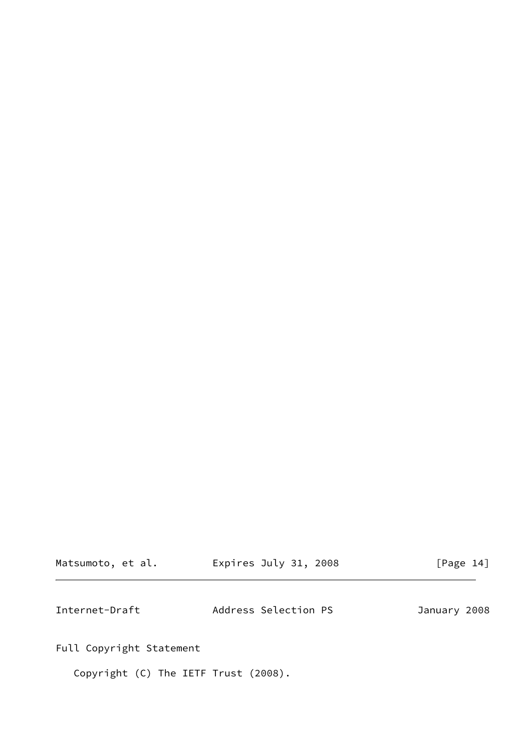<span id="page-15-0"></span>

| Matsumoto, et al. | Expires July 31, 2008 | [Page 14]    |
|-------------------|-----------------------|--------------|
| Internet-Draft    | Address Selection PS  | January 2008 |

Full Copyright Statement

Copyright (C) The IETF Trust (2008).